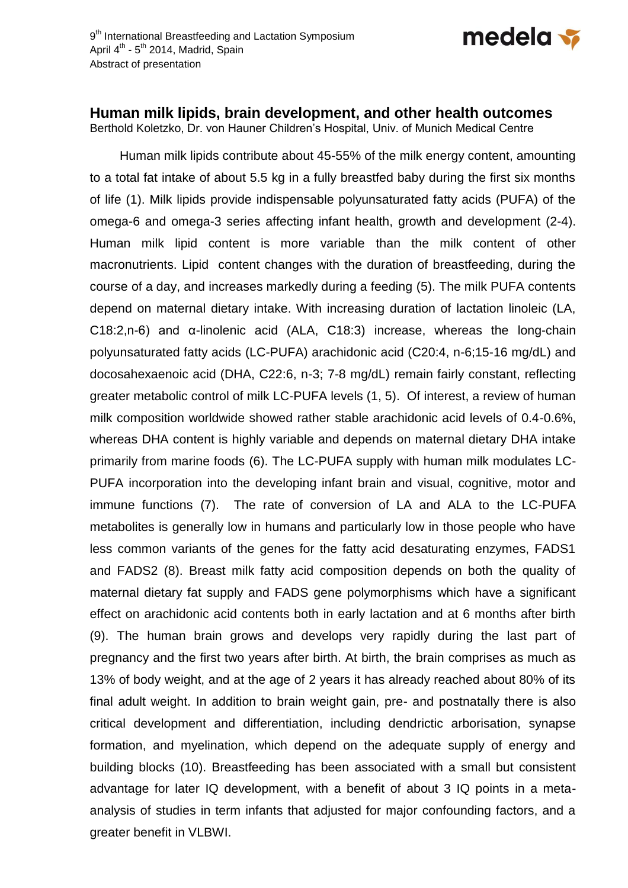

## **Human milk lipids, brain development, and other health outcomes**

Berthold Koletzko, Dr. von Hauner Children's Hospital, Univ. of Munich Medical Centre

Human milk lipids contribute about 45-55% of the milk energy content, amounting to a total fat intake of about 5.5 kg in a fully breastfed baby during the first six months of life [\(1\)](#page-2-0). Milk lipids provide indispensable polyunsaturated fatty acids (PUFA) of the omega-6 and omega-3 series affecting infant health, growth and development [\(2-4\)](#page-2-1). Human milk lipid content is more variable than the milk content of other macronutrients. Lipid content changes with the duration of breastfeeding, during the course of a day, and increases markedly during a feeding [\(5\)](#page-2-2). The milk PUFA contents depend on maternal dietary intake. With increasing duration of lactation linoleic (LA, C18:2,n-6) and α-linolenic acid (ALA, C18:3) increase, whereas the long-chain polyunsaturated fatty acids (LC-PUFA) arachidonic acid (C20:4, n-6;15-16 mg/dL) and docosahexaenoic acid (DHA, C22:6, n-3; 7-8 mg/dL) remain fairly constant, reflecting greater metabolic control of milk LC-PUFA levels [\(1,](#page-2-0) [5\)](#page-2-2). Of interest, a review of human milk composition worldwide showed rather stable arachidonic acid levels of 0.4-0.6%, whereas DHA content is highly variable and depends on maternal dietary DHA intake primarily from marine foods [\(6\)](#page-2-3). The LC-PUFA supply with human milk modulates LC-PUFA incorporation into the developing infant brain and visual, cognitive, motor and immune functions [\(7\)](#page-2-4). The rate of conversion of LA and ALA to the LC-PUFA metabolites is generally low in humans and particularly low in those people who have less common variants of the genes for the fatty acid desaturating enzymes, FADS1 and FADS2 [\(8\)](#page-2-5). Breast milk fatty acid composition depends on both the quality of maternal dietary fat supply and FADS gene polymorphisms which have a significant effect on arachidonic acid contents both in early lactation and at 6 months after birth [\(9\)](#page-2-6). The human brain grows and develops very rapidly during the last part of pregnancy and the first two years after birth. At birth, the brain comprises as much as 13% of body weight, and at the age of 2 years it has already reached about 80% of its final adult weight. In addition to brain weight gain, pre- and postnatally there is also critical development and differentiation, including dendrictic arborisation, synapse formation, and myelination, which depend on the adequate supply of energy and building blocks [\(10\)](#page-2-7). Breastfeeding has been associated with a small but consistent advantage for later IQ development, with a benefit of about 3 IQ points in a metaanalysis of studies in term infants that adjusted for major confounding factors, and a greater benefit in VLBWI.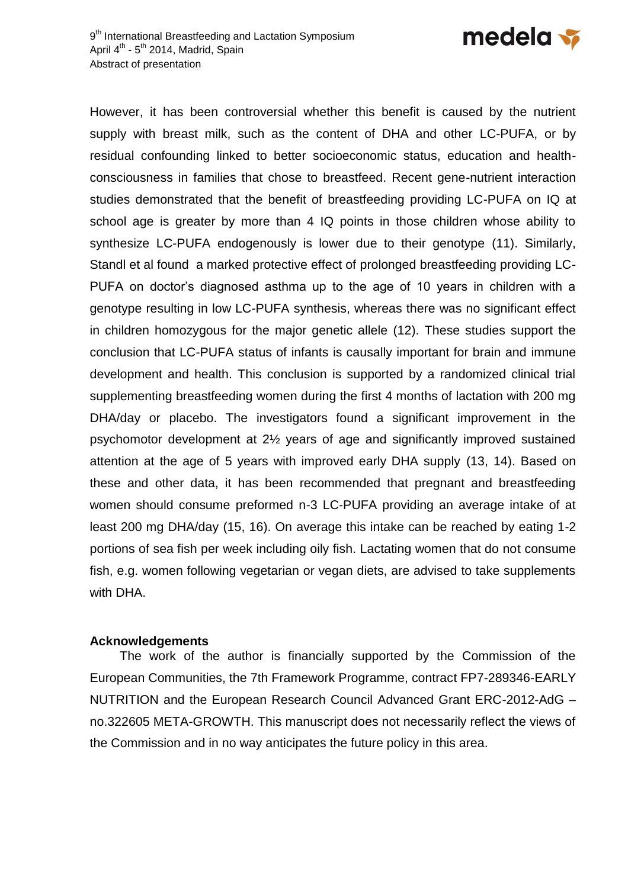

However, it has been controversial whether this benefit is caused by the nutrient supply with breast milk, such as the content of DHA and other LC-PUFA, or by residual confounding linked to better socioeconomic status, education and healthconsciousness in families that chose to breastfeed. Recent gene-nutrient interaction studies demonstrated that the benefit of breastfeeding providing LC-PUFA on IQ at school age is greater by more than 4 IQ points in those children whose ability to synthesize LC-PUFA endogenously is lower due to their genotype [\(11\)](#page-2-8). Similarly, Standl et al found a marked protective effect of prolonged breastfeeding providing LC-PUFA on doctor's diagnosed asthma up to the age of 10 years in children with a genotype resulting in low LC-PUFA synthesis, whereas there was no significant effect in children homozygous for the major genetic allele [\(12\)](#page-2-9). These studies support the conclusion that LC-PUFA status of infants is causally important for brain and immune development and health. This conclusion is supported by a randomized clinical trial supplementing breastfeeding women during the first 4 months of lactation with 200 mg DHA/day or placebo. The investigators found a significant improvement in the psychomotor development at 2½ years of age and significantly improved sustained attention at the age of 5 years with improved early DHA supply [\(13,](#page-2-10) [14\)](#page-2-11). Based on these and other data, it has been recommended that pregnant and breastfeeding women should consume preformed n-3 LC-PUFA providing an average intake of at least 200 mg DHA/day [\(15,](#page-2-12) [16\)](#page-2-13). On average this intake can be reached by eating 1-2 portions of sea fish per week including oily fish. Lactating women that do not consume fish, e.g. women following vegetarian or vegan diets, are advised to take supplements with DHA.

## **Acknowledgements**

The work of the author is financially supported by the Commission of the European Communities, the 7th Framework Programme, contract FP7-289346-EARLY NUTRITION and the European Research Council Advanced Grant ERC-2012-AdG – no.322605 META-GROWTH. This manuscript does not necessarily reflect the views of the Commission and in no way anticipates the future policy in this area.